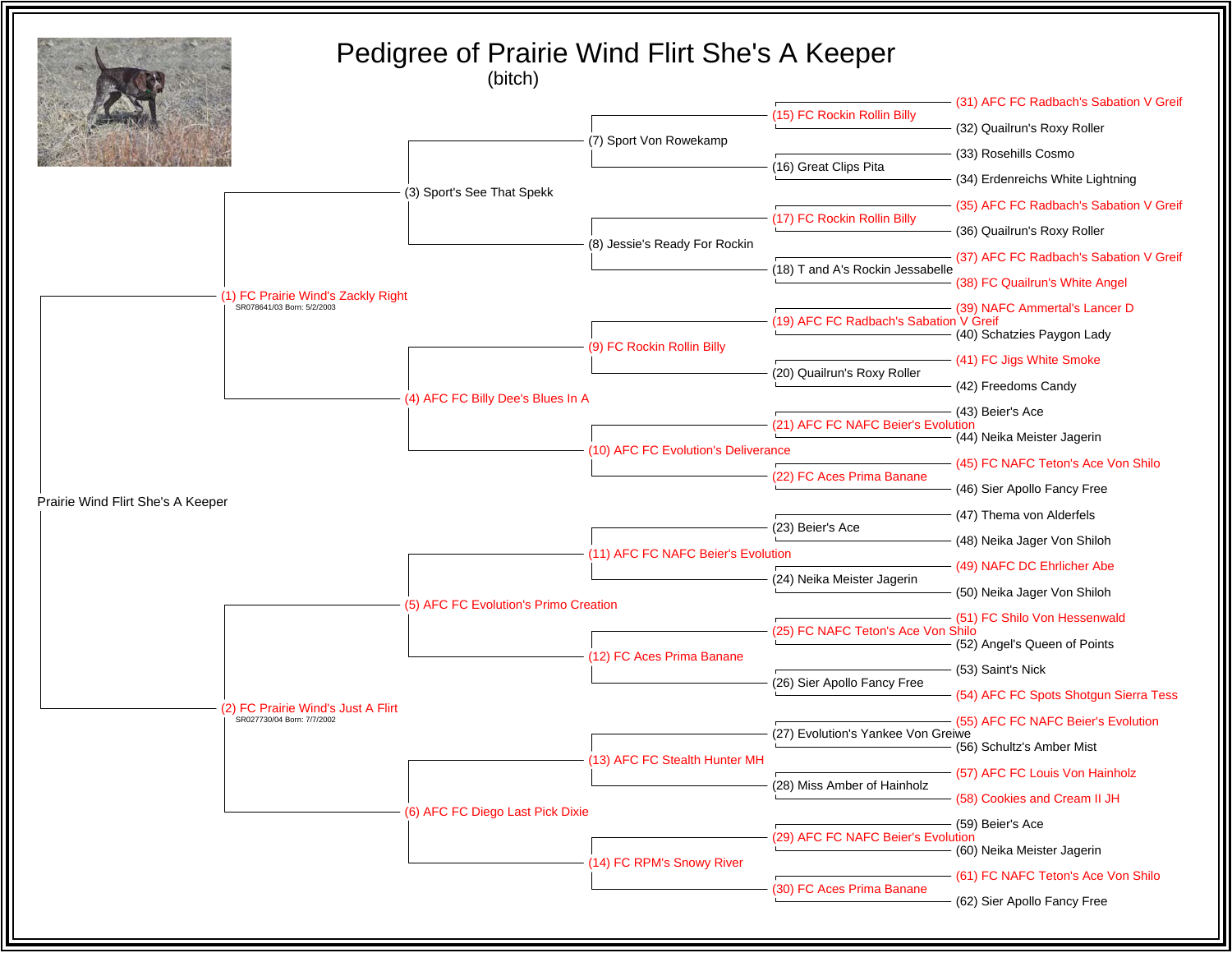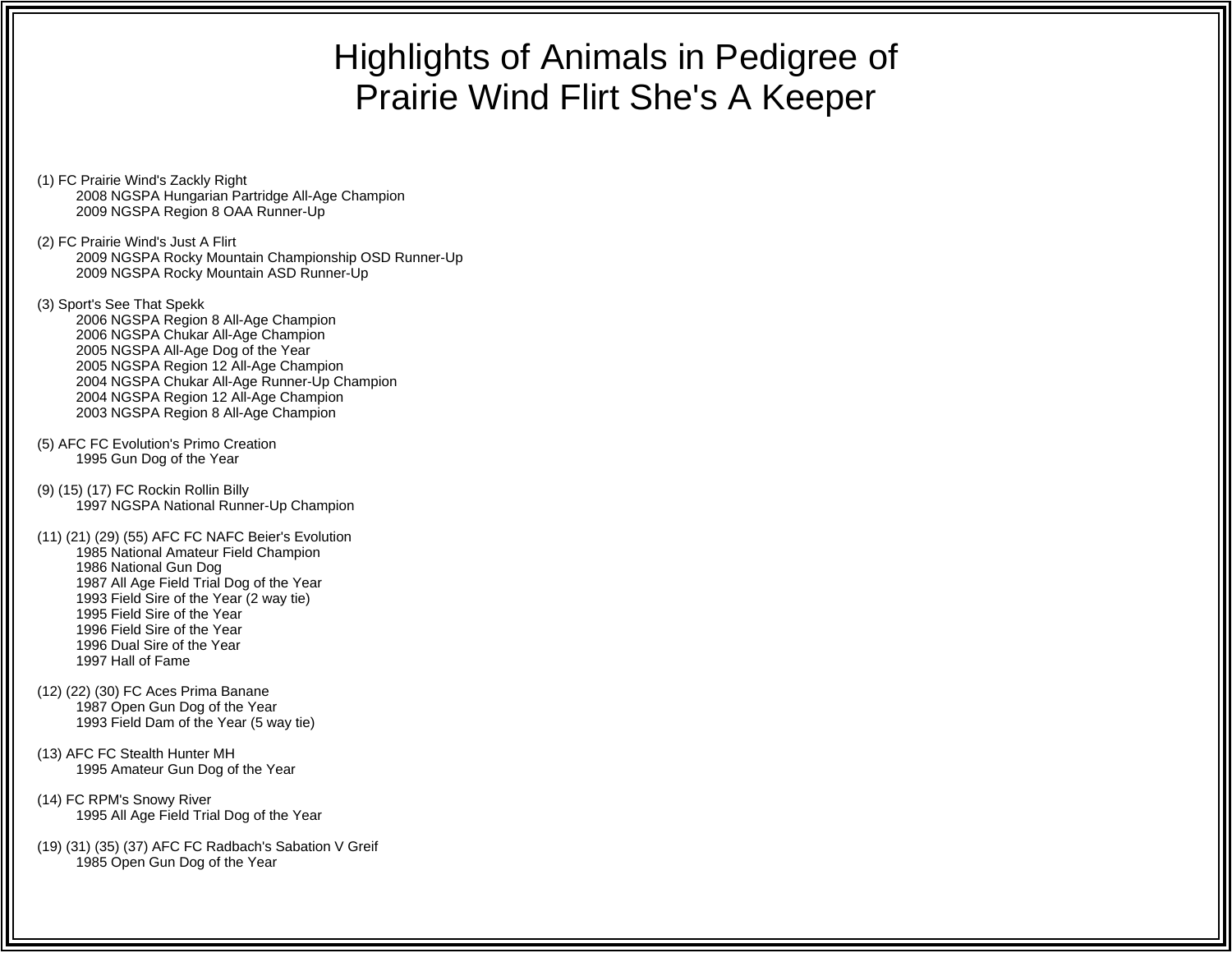## Highlights of Animals in Pedigree of Prairie Wind Flirt She's A Keeper

- (1) FC Prairie Wind's Zackly Right 2008 NGSPA Hungarian Partridge All-Age Champion 2009 NGSPA Region 8 OAA Runner-Up
- (2) FC Prairie Wind's Just A Flirt 2009 NGSPA Rocky Mountain Championship OSD Runner-Up 2009 NGSPA Rocky Mountain ASD Runner-Up
- (3) Sport's See That Spekk 2006 NGSPA Region 8 All-Age Champion 2006 NGSPA Chukar All-Age Champion 2005 NGSPA All-Age Dog of the Year 2005 NGSPA Region 12 All-Age Champion 2004 NGSPA Chukar All-Age Runner-Up Champion 2004 NGSPA Region 12 All-Age Champion 2003 NGSPA Region 8 All-Age Champion
- (5) AFC FC Evolution's Primo Creation 1995 Gun Dog of the Year
- (9) (15) (17) FC Rockin Rollin Billy 1997 NGSPA National Runner-Up Champion
- (11) (21) (29) (55) AFC FC NAFC Beier's Evolution 1985 National Amateur Field Champion 1986 National Gun Dog 1987 All Age Field Trial Dog of the Year 1993 Field Sire of the Year (2 way tie) 1995 Field Sire of the Year 1996 Field Sire of the Year 1996 Dual Sire of the Year1997 Hall of Fame
- (12) (22) (30) FC Aces Prima Banane 1987 Open Gun Dog of the Year 1993 Field Dam of the Year (5 way tie)
- (13) AFC FC Stealth Hunter MH 1995 Amateur Gun Dog of the Year
- (14) FC RPM's Snowy River 1995 All Age Field Trial Dog of the Year
- (19) (31) (35) (37) AFC FC Radbach's Sabation V Greif 1985 Open Gun Dog of the Year